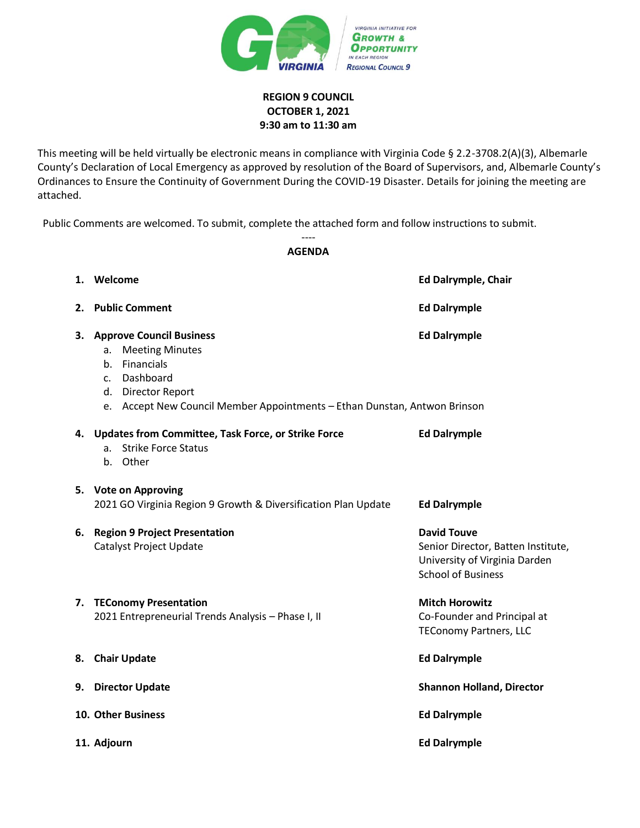

## **REGION 9 COUNCIL OCTOBER 1, 2021 9:30 am to 11:30 am**

This meeting will be held virtually be electronic means in compliance with Virginia Code § 2.2-3708.2(A)(3), Albemarle County's Declaration of Local Emergency as approved by resolution of the Board of Supervisors, and, Albemarle County's Ordinances to Ensure the Continuity of Government During the COVID-19 Disaster. Details for joining the meeting are attached.

Public Comments are welcomed. To submit, complete the attached form and follow instructions to submit.

----

**AGENDA 1. Welcome Ed Dalrymple, Chair 2. Public Comment Ed Dalrymple 3. Approve Council Business Ed Dalrymple** a. Meeting Minutes b. Financials c. Dashboard d. Director Report e. Accept New Council Member Appointments – Ethan Dunstan, Antwon Brinson **4. Updates from Committee, Task Force, or Strike Force Ed Dalrymple** a. Strike Force Status b. Other **5. Vote on Approving**  2021 GO Virginia Region 9 Growth & Diversification Plan Update **Ed Dalrymple 6.** Region 9 Project Presentation **David Touve David Touve** Catalyst Project Update Senior Director, Batten Institute, University of Virginia Darden School of Business **7. TEConomy Presentation Mitch Horowitz** 2021 Entrepreneurial Trends Analysis – Phase I, II Co-Founder and Principal at TEConomy Partners, LLC **8. Chair Update Ed Dalrymple 9. Director Update Shannon Holland, Director 10. Other Business Ed Dalrymple 11. Adjourn Ed Dalrymple**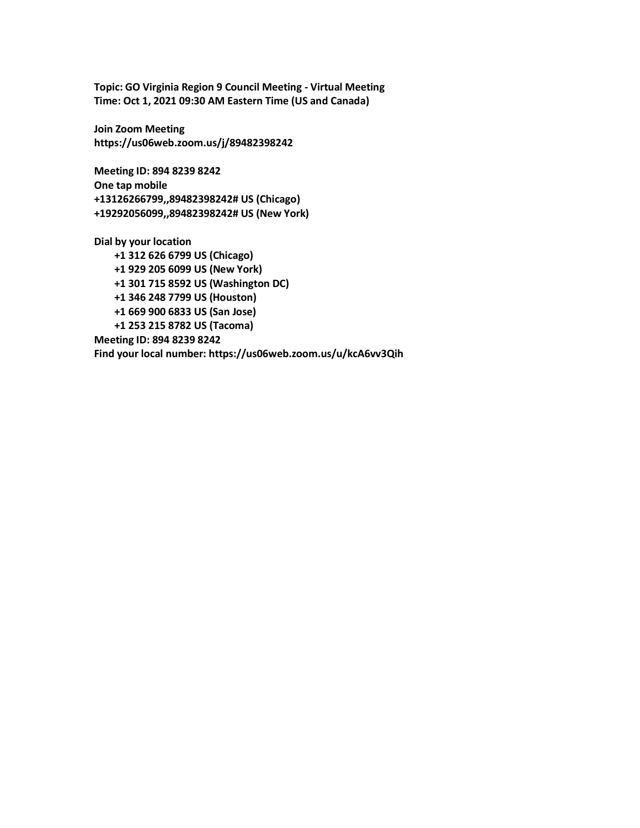**Topic: GO Virginia Region 9 Council Meeting - Virtual Meeting Time: Oct 1, 2021 09:30 AM Eastern Time (US and Canada)**

**Join Zoom Meeting https://us06web.zoom.us/j/89482398242**

**Meeting ID: 894 8239 8242 One tap mobile +13126266799,,89482398242# US (Chicago) +19292056099,,89482398242# US (New York)**

**Dial by your location +1 312 626 6799 US (Chicago) +1 929 205 6099 US (New York) +1 301 715 8592 US (Washington DC) +1 346 248 7799 US (Houston) +1 669 900 6833 US (San Jose) +1 253 215 8782 US (Tacoma) Meeting ID: 894 8239 8242 Find your local number: https://us06web.zoom.us/u/kcA6vv3Qih**